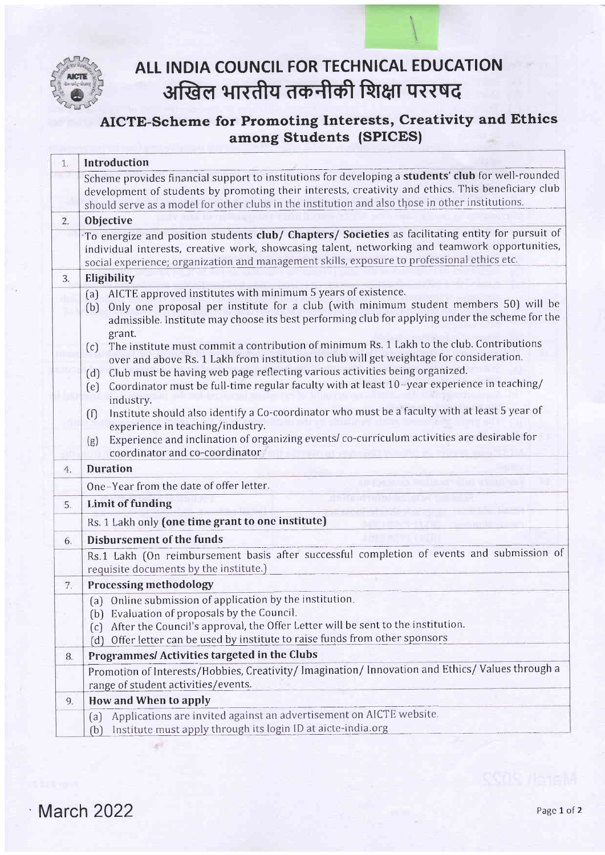

## ALL INDIA COUNCIL FOR TECHNICAL EDUCATION अखिल भारतीय तकनीकी शिक्षा पररषद

## AICTE-Scheme for Promoting Interests, Creativity and Ethics among Students (SPICES)

| 1. | Introduction                                                                                                                                                                                                                                                                                                                                                                                                                                                                                                                                                                                                                                                                                                                                                                                                                                                                                                                                                                                    |  |  |
|----|-------------------------------------------------------------------------------------------------------------------------------------------------------------------------------------------------------------------------------------------------------------------------------------------------------------------------------------------------------------------------------------------------------------------------------------------------------------------------------------------------------------------------------------------------------------------------------------------------------------------------------------------------------------------------------------------------------------------------------------------------------------------------------------------------------------------------------------------------------------------------------------------------------------------------------------------------------------------------------------------------|--|--|
|    | Scheme provides financial support to institutions for developing a students' club for well-rounded<br>development of students by promoting their interests, creativity and ethics. This beneficiary club<br>should serve as a model for other clubs in the institution and also those in other institutions.                                                                                                                                                                                                                                                                                                                                                                                                                                                                                                                                                                                                                                                                                    |  |  |
| 2. | Objective                                                                                                                                                                                                                                                                                                                                                                                                                                                                                                                                                                                                                                                                                                                                                                                                                                                                                                                                                                                       |  |  |
|    | To energize and position students club/ Chapters/ Societies as facilitating entity for pursuit of<br>individual interests, creative work, showcasing talent, networking and teamwork opportunities,<br>social experience; organization and management skills, exposure to professional ethics etc.                                                                                                                                                                                                                                                                                                                                                                                                                                                                                                                                                                                                                                                                                              |  |  |
| 3. | Eligibility                                                                                                                                                                                                                                                                                                                                                                                                                                                                                                                                                                                                                                                                                                                                                                                                                                                                                                                                                                                     |  |  |
|    | AICTE approved institutes with minimum 5 years of existence.<br>(a)<br>Only one proposal per institute for a club (with minimum student members 50) will be<br>(b)<br>admissible. Institute may choose its best performing club for applying under the scheme for the<br>grant.<br>The institute must commit a contribution of minimum Rs. 1 Lakh to the club. Contributions<br>(c)<br>over and above Rs. 1 Lakh from institution to club will get weightage for consideration.<br>Club must be having web page reflecting various activities being organized.<br>(d)<br>Coordinator must be full-time regular faculty with at least 10-year experience in teaching/<br>(e)<br>industry.<br>Institute should also identify a Co-coordinator who must be a faculty with at least 5 year of<br>$\left(\text{f}\right)$<br>experience in teaching/industry.<br>Experience and inclination of organizing events/co-curriculum activities are desirable for<br>(g)<br>coordinator and co-coordinator |  |  |
| 4. | <b>Duration</b>                                                                                                                                                                                                                                                                                                                                                                                                                                                                                                                                                                                                                                                                                                                                                                                                                                                                                                                                                                                 |  |  |
|    | <b>DR THE REAL PROPERTY OF A REAL</b><br>One-Year from the date of offer letter.                                                                                                                                                                                                                                                                                                                                                                                                                                                                                                                                                                                                                                                                                                                                                                                                                                                                                                                |  |  |
| 5. | <b>Limit of funding</b>                                                                                                                                                                                                                                                                                                                                                                                                                                                                                                                                                                                                                                                                                                                                                                                                                                                                                                                                                                         |  |  |
|    | Rs. 1 Lakh only (one time grant to one institute)                                                                                                                                                                                                                                                                                                                                                                                                                                                                                                                                                                                                                                                                                                                                                                                                                                                                                                                                               |  |  |
| 6. | <b>Disbursement of the funds</b>                                                                                                                                                                                                                                                                                                                                                                                                                                                                                                                                                                                                                                                                                                                                                                                                                                                                                                                                                                |  |  |
|    | Rs.1 Lakh (On reimbursement basis after successful completion of events and submission of<br>requisite documents by the institute.)                                                                                                                                                                                                                                                                                                                                                                                                                                                                                                                                                                                                                                                                                                                                                                                                                                                             |  |  |
| 7. | <b>Processing methodology</b>                                                                                                                                                                                                                                                                                                                                                                                                                                                                                                                                                                                                                                                                                                                                                                                                                                                                                                                                                                   |  |  |
|    | (a) Online submission of application by the institution.<br>(b) Evaluation of proposals by the Council.<br>After the Council's approval, the Offer Letter will be sent to the institution.<br>(c)<br>Offer letter can be used by institute to raise funds from other sponsors<br>(d)                                                                                                                                                                                                                                                                                                                                                                                                                                                                                                                                                                                                                                                                                                            |  |  |
| 8. | Programmes/ Activities targeted in the Clubs                                                                                                                                                                                                                                                                                                                                                                                                                                                                                                                                                                                                                                                                                                                                                                                                                                                                                                                                                    |  |  |
|    | Promotion of Interests/Hobbies, Creativity/ Imagination/ Innovation and Ethics/ Values through a<br>range of student activities/events.                                                                                                                                                                                                                                                                                                                                                                                                                                                                                                                                                                                                                                                                                                                                                                                                                                                         |  |  |
| 9. | How and When to apply                                                                                                                                                                                                                                                                                                                                                                                                                                                                                                                                                                                                                                                                                                                                                                                                                                                                                                                                                                           |  |  |
|    | Applications are invited against an advertisement on AICTE website.<br>(a)<br>Institute must apply through its login ID at aicte-india.org<br>(b)                                                                                                                                                                                                                                                                                                                                                                                                                                                                                                                                                                                                                                                                                                                                                                                                                                               |  |  |